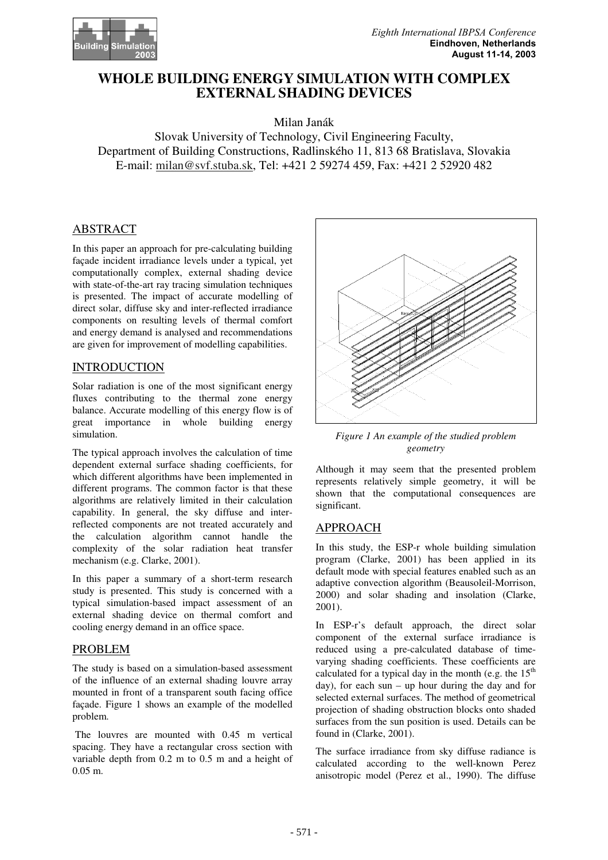

# WHOLE BUILDING ENERGY SIMULATION WITH COMPLEX EXTERNAL SHADING DEVICES

Milan Janák

Slovak University of Technology, Civil Engineering Faculty, Department of Building Constructions, Radlinského 11, 813 68 Bratislava, Slovakia E-mail: milan@svf.stuba.sk, Tel: +421 2 59274 459, Fax: +421 2 52920 482

## ABSTRACT

In this paper an approach for pre-calculating building façade incident irradiance levels under a typical, yet computationally complex, external shading device with state-of-the-art ray tracing simulation techniques is presented. The impact of accurate modelling of direct solar, diffuse sky and inter-reflected irradiance components on resulting levels of thermal comfort and energy demand is analysed and recommendations are given for improvement of modelling capabilities.

## INTRODUCTION

Solar radiation is one of the most significant energy fluxes contributing to the thermal zone energy balance. Accurate modelling of this energy flow is of great importance in whole building energy simulation.

The typical approach involves the calculation of time dependent external surface shading coefficients, for which different algorithms have been implemented in different programs. The common factor is that these algorithms are relatively limited in their calculation capability. In general, the sky diffuse and interreflected components are not treated accurately and the calculation algorithm cannot handle the complexity of the solar radiation heat transfer mechanism (e.g. Clarke, 2001).

In this paper a summary of a short-term research study is presented. This study is concerned with a typical simulation-based impact assessment of an external shading device on thermal comfort and cooling energy demand in an office space.

#### PROBLEM

The study is based on a simulation-based assessment of the influence of an external shading louvre array mounted in front of a transparent south facing office façade. Figure 1 shows an example of the modelled problem.

 The louvres are mounted with 0.45 m vertical spacing. They have a rectangular cross section with variable depth from 0.2 m to 0.5 m and a height of 0.05 m.



Figure 1 An example of the studied problem geometry

Although it may seem that the presented problem represents relatively simple geometry, it will be shown that the computational consequences are significant.

# APPROACH

In this study, the ESP-r whole building simulation program (Clarke, 2001) has been applied in its default mode with special features enabled such as an adaptive convection algorithm (Beausoleil-Morrison, 2000) and solar shading and insolation (Clarke, 2001).

In ESP-r's default approach, the direct solar component of the external surface irradiance is reduced using a pre-calculated database of timevarying shading coefficients. These coefficients are calculated for a typical day in the month (e.g. the  $15<sup>th</sup>$ day), for each sun – up hour during the day and for selected external surfaces. The method of geometrical projection of shading obstruction blocks onto shaded surfaces from the sun position is used. Details can be found in (Clarke, 2001).

The surface irradiance from sky diffuse radiance is calculated according to the well-known Perez anisotropic model (Perez et al., 1990). The diffuse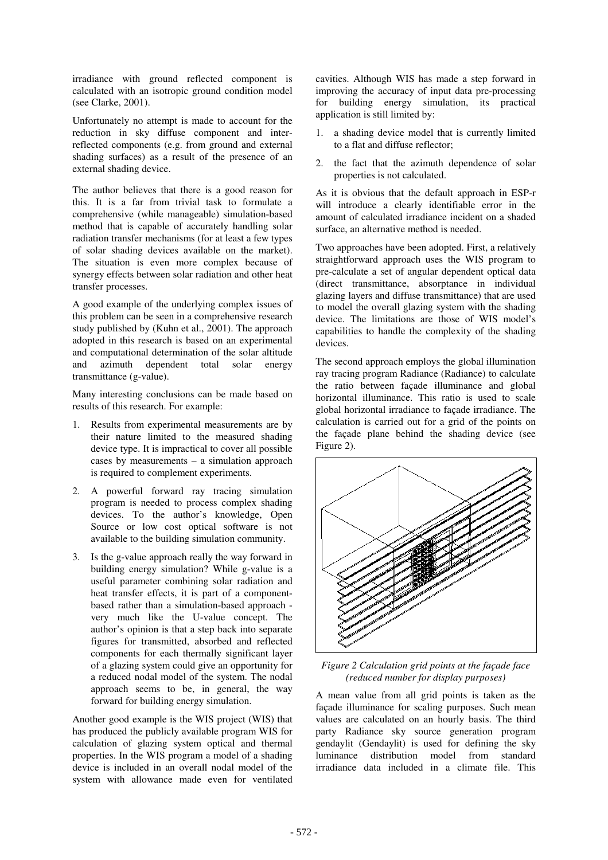irradiance with ground reflected component is calculated with an isotropic ground condition model (see Clarke, 2001).

Unfortunately no attempt is made to account for the reduction in sky diffuse component and interreflected components (e.g. from ground and external shading surfaces) as a result of the presence of an external shading device.

The author believes that there is a good reason for this. It is a far from trivial task to formulate a comprehensive (while manageable) simulation-based method that is capable of accurately handling solar radiation transfer mechanisms (for at least a few types of solar shading devices available on the market). The situation is even more complex because of synergy effects between solar radiation and other heat transfer processes.

A good example of the underlying complex issues of this problem can be seen in a comprehensive research study published by (Kuhn et al., 2001). The approach adopted in this research is based on an experimental and computational determination of the solar altitude and azimuth dependent total solar energy transmittance (g-value).

Many interesting conclusions can be made based on results of this research. For example:

- 1. Results from experimental measurements are by their nature limited to the measured shading device type. It is impractical to cover all possible cases by measurements – a simulation approach is required to complement experiments.
- 2. A powerful forward ray tracing simulation program is needed to process complex shading devices. To the author's knowledge, Open Source or low cost optical software is not available to the building simulation community.
- 3. Is the g-value approach really the way forward in building energy simulation? While g-value is a useful parameter combining solar radiation and heat transfer effects, it is part of a componentbased rather than a simulation-based approach very much like the U-value concept. The author's opinion is that a step back into separate figures for transmitted, absorbed and reflected components for each thermally significant layer of a glazing system could give an opportunity for a reduced nodal model of the system. The nodal approach seems to be, in general, the way forward for building energy simulation.

Another good example is the WIS project (WIS) that has produced the publicly available program WIS for calculation of glazing system optical and thermal properties. In the WIS program a model of a shading device is included in an overall nodal model of the system with allowance made even for ventilated

cavities. Although WIS has made a step forward in improving the accuracy of input data pre-processing for building energy simulation, its practical application is still limited by:

- 1. a shading device model that is currently limited to a flat and diffuse reflector;
- 2. the fact that the azimuth dependence of solar properties is not calculated.

As it is obvious that the default approach in ESP-r will introduce a clearly identifiable error in the amount of calculated irradiance incident on a shaded surface, an alternative method is needed.

Two approaches have been adopted. First, a relatively straightforward approach uses the WIS program to pre-calculate a set of angular dependent optical data (direct transmittance, absorptance in individual glazing layers and diffuse transmittance) that are used to model the overall glazing system with the shading device. The limitations are those of WIS model's capabilities to handle the complexity of the shading devices.

The second approach employs the global illumination ray tracing program Radiance (Radiance) to calculate the ratio between façade illuminance and global horizontal illuminance. This ratio is used to scale global horizontal irradiance to façade irradiance. The calculation is carried out for a grid of the points on the façade plane behind the shading device (see Figure 2).



Figure 2 Calculation grid points at the façade face (reduced number for display purposes)

A mean value from all grid points is taken as the façade illuminance for scaling purposes. Such mean values are calculated on an hourly basis. The third party Radiance sky source generation program gendaylit (Gendaylit) is used for defining the sky luminance distribution model from standard irradiance data included in a climate file. This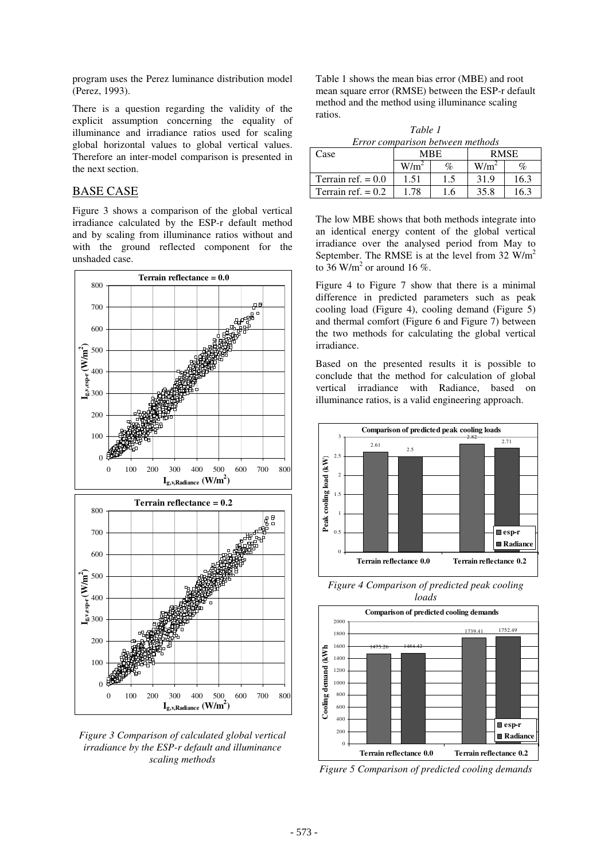program uses the Perez luminance distribution model (Perez, 1993).

There is a question regarding the validity of the explicit assumption concerning the equality of illuminance and irradiance ratios used for scaling global horizontal values to global vertical values. Therefore an inter-model comparison is presented in the next section.

#### BASE CASE

Figure 3 shows a comparison of the global vertical irradiance calculated by the ESP-r default method and by scaling from illuminance ratios without and with the ground reflected component for the unshaded case.



Figure 3 Comparison of calculated global vertical irradiance by the ESP-r default and illuminance scaling methods

Table 1 shows the mean bias error (MBE) and root mean square error (RMSE) between the ESP-r default method and the method using illuminance scaling ratios.

Table 1 Error comparison between methods

| Case                 | <b>MRE</b> |      | <b>RMSE</b> |      |
|----------------------|------------|------|-------------|------|
|                      | W/m        | $\%$ | W/m         | $\%$ |
| Terrain ref. $= 0.0$ | 1.51       |      | 31.9        | 16.3 |
| Terrain ref. $= 0.2$ | 178        | .6   | 35.8        | 16.3 |

The low MBE shows that both methods integrate into an identical energy content of the global vertical irradiance over the analysed period from May to September. The RMSE is at the level from 32  $W/m<sup>2</sup>$ to  $36$  W/m<sup>2</sup> or around 16 %.

Figure 4 to Figure 7 show that there is a minimal difference in predicted parameters such as peak cooling load (Figure 4), cooling demand (Figure 5) and thermal comfort (Figure 6 and Figure 7) between the two methods for calculating the global vertical irradiance.

Based on the presented results it is possible to conclude that the method for calculation of global vertical irradiance with Radiance, based on illuminance ratios, is a valid engineering approach.



Figure 4 Comparison of predicted peak cooling loads



Figure 5 Comparison of predicted cooling demands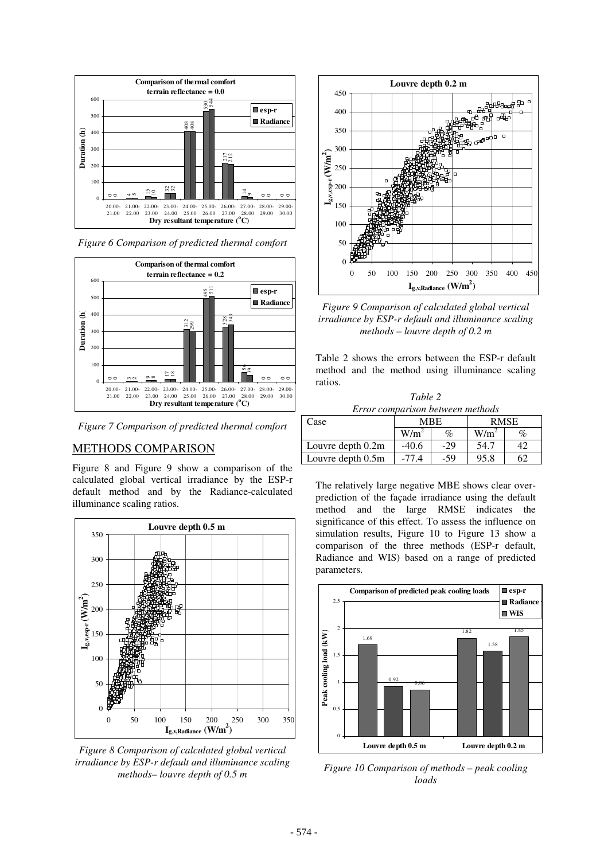

Figure 6 Comparison of predicted thermal comfort



Figure 7 Comparison of predicted thermal comfort

## METHODS COMPARISON

Figure 8 and Figure 9 show a comparison of the calculated global vertical irradiance by the ESP-r default method and by the Radiance-calculated illuminance scaling ratios.



Figure 8 Comparison of calculated global vertical irradiance by ESP-r default and illuminance scaling methods– louvre depth of 0.5 m



Figure 9 Comparison of calculated global vertical irradiance by ESP-r default and illuminance scaling methods – louvre depth of 0.2 m

Table 2 shows the errors between the ESP-r default method and the method using illuminance scaling ratios.

| Table 2                          |            |       |             |      |  |  |  |  |
|----------------------------------|------------|-------|-------------|------|--|--|--|--|
| Error comparison between methods |            |       |             |      |  |  |  |  |
| Case                             | <b>MBE</b> |       | <b>RMSE</b> |      |  |  |  |  |
|                                  | $W/m^2$    | $\%$  | $W/m^2$     | $\%$ |  |  |  |  |
| Louvre depth 0.2m                | $-40.6$    | $-29$ | 54.7        | 42.  |  |  |  |  |
| Louvre depth 0.5m                | $-77.4$    | $-59$ | 95.8        | 62   |  |  |  |  |

The relatively large negative MBE shows clear overprediction of the façade irradiance using the default method and the large RMSE indicates the significance of this effect. To assess the influence on simulation results, Figure 10 to Figure 13 show a comparison of the three methods (ESP-r default, Radiance and WIS) based on a range of predicted parameters.



Figure 10 Comparison of methods – peak cooling loads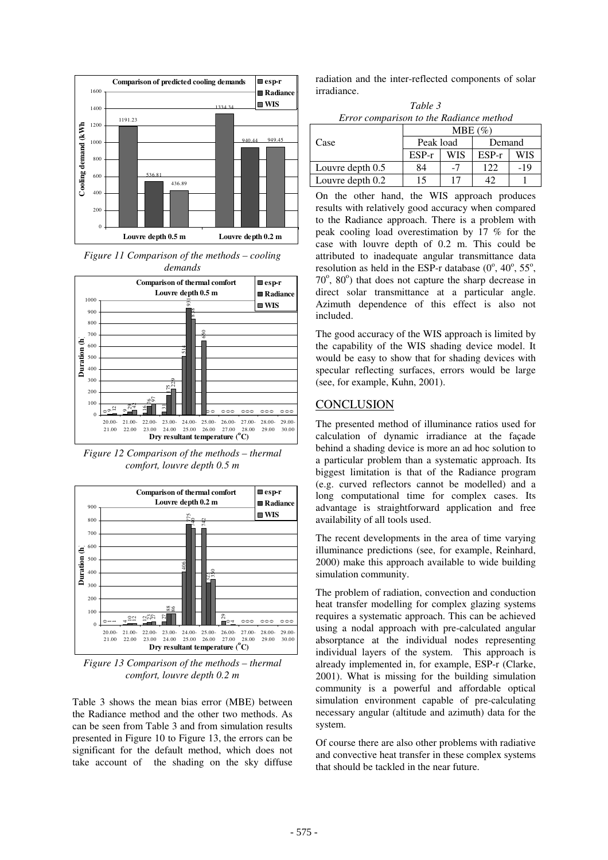

Figure 11 Comparison of the methods – cooling demands



Figure 12 Comparison of the methods – thermal comfort, louvre depth 0.5 m



Figure 13 Comparison of the methods – thermal comfort, louvre depth 0.2 m

Table 3 shows the mean bias error (MBE) between the Radiance method and the other two methods. As can be seen from Table 3 and from simulation results presented in Figure 10 to Figure 13, the errors can be significant for the default method, which does not take account of the shading on the sky diffuse

radiation and the inter-reflected components of solar irradiance.

Table 3 Error comparison to the Radiance method

|                  | $MBE(\%)$ |     |         |     |  |
|------------------|-----------|-----|---------|-----|--|
| Case             | Peak load |     | Demand  |     |  |
|                  | $ESP-r$   | WIS | $ESP-r$ | WIS |  |
| Louvre depth 0.5 | 84        |     | 122     | -19 |  |
| Louvre depth 0.2 | 15        |     |         |     |  |

On the other hand, the WIS approach produces results with relatively good accuracy when compared to the Radiance approach. There is a problem with peak cooling load overestimation by 17 % for the case with louvre depth of 0.2 m. This could be attributed to inadequate angular transmittance data resolution as held in the ESP-r database  $(0^{\degree}, 40^{\degree}, 55^{\degree},$ 70°, 80°) that does not capture the sharp decrease in direct solar transmittance at a particular angle. Azimuth dependence of this effect is also not included.

The good accuracy of the WIS approach is limited by the capability of the WIS shading device model. It would be easy to show that for shading devices with specular reflecting surfaces, errors would be large (see, for example, Kuhn, 2001).

#### **CONCLUSION**

The presented method of illuminance ratios used for calculation of dynamic irradiance at the façade behind a shading device is more an ad hoc solution to a particular problem than a systematic approach. Its biggest limitation is that of the Radiance program (e.g. curved reflectors cannot be modelled) and a long computational time for complex cases. Its advantage is straightforward application and free availability of all tools used.

The recent developments in the area of time varying illuminance predictions (see, for example, Reinhard, 2000) make this approach available to wide building simulation community.

The problem of radiation, convection and conduction heat transfer modelling for complex glazing systems requires a systematic approach. This can be achieved using a nodal approach with pre-calculated angular absorptance at the individual nodes representing individual layers of the system. This approach is already implemented in, for example, ESP-r (Clarke, 2001). What is missing for the building simulation community is a powerful and affordable optical simulation environment capable of pre-calculating necessary angular (altitude and azimuth) data for the system.

Of course there are also other problems with radiative and convective heat transfer in these complex systems that should be tackled in the near future.